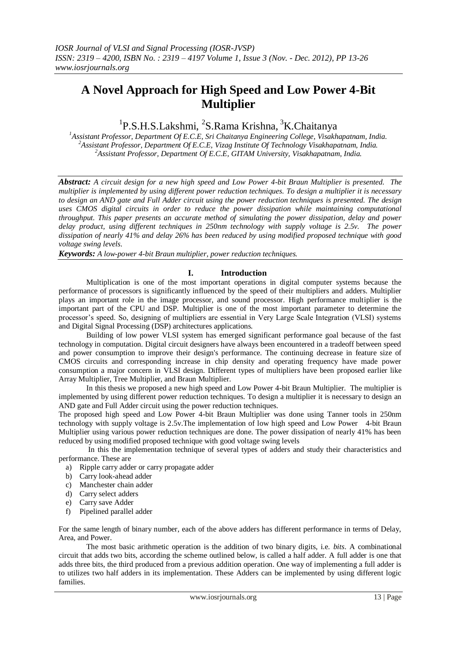# **A Novel Approach for High Speed and Low Power 4-Bit Multiplier**

<sup>1</sup>P.S.H.S.Lakshmi, <sup>2</sup>S.Rama Krishna, <sup>3</sup>K.Chaitanya

*<sup>1</sup>Assistant Professor, Department Of E.C.E, Sri Chaitanya Engineering College, Visakhapatnam, India. <sup>2</sup>Assistant Professor, Department Of E.C.E, Vizag Institute Of Technology Visakhapatnam, India. <sup>2</sup>Assistant Professor, Department Of E.C.E, GITAM University, Visakhapatnam, India.*

*Abstract: A circuit design for a new high speed and Low Power 4-bit Braun Multiplier is presented. The multiplier is implemented by using different power reduction techniques. To design a multiplier it is necessary to design an AND gate and Full Adder circuit using the power reduction techniques is presented. The design uses CMOS digital circuits in order to reduce the power dissipation while maintaining computational throughput. This paper presents an accurate method of simulating the power dissipation, delay and power delay product, using different techniques in 250nm technology with supply voltage is 2.5v. The power dissipation of nearly 41% and delay 26% has been reduced by using modified proposed technique with good voltage swing levels.*

*Keywords: A low-power 4-bit Braun multiplier, power reduction techniques.*

### **I. Introduction**

Multiplication is one of the most important operations in digital computer systems because the performance of processors is significantly influenced by the speed of their multipliers and adders. Multiplier plays an important role in the image processor, and sound processor. High performance multiplier is the important part of the CPU and DSP. Multiplier is one of the most important parameter to determine the processor's speed. So, designing of multipliers are essential in Very Large Scale Integration (VLSI) systems and Digital Signal Processing (DSP) architectures applications.

Building of low power VLSI system has emerged significant performance goal because of the fast technology in computation. Digital circuit designers have always been encountered in a tradeoff between speed and power consumption to improve their design's performance. The continuing decrease in feature size of CMOS circuits and corresponding increase in chip density and operating frequency have made power consumption a major concern in VLSI design. Different types of multipliers have been proposed earlier like Array Multiplier, Tree Multiplier, and Braun Multiplier.

In this thesis we proposed a new high speed and Low Power 4-bit Braun Multiplier. The multiplier is implemented by using different power reduction techniques. To design a multiplier it is necessary to design an AND gate and Full Adder circuit using the power reduction techniques.

The proposed high speed and Low Power 4-bit Braun Multiplier was done using Tanner tools in 250nm technology with supply voltage is 2.5v.The implementation of low high speed and Low Power 4-bit Braun Multiplier using various power reduction techniques are done. The power dissipation of nearly 41% has been reduced by using modified proposed technique with good voltage swing levels

In this the implementation technique of several types of adders and study their characteristics and performance. These are

- a) Ripple carry adder or carry propagate adder
- b) Carry look-ahead adder
- c) Manchester chain adder
- d) Carry select adders
- e) Carry save Adder
- f) Pipelined parallel adder

For the same length of binary number, each of the above adders has different performance in terms of Delay, Area, and Power.

The most basic arithmetic operation is the addition of two binary digits, i.e. *bits*. A combinational circuit that adds two bits, according the scheme outlined below, is called a half adder. A full adder is one that adds three bits, the third produced from a previous addition operation. One way of implementing a full adder is to utilizes two half adders in its implementation. These Adders can be implemented by using different logic families.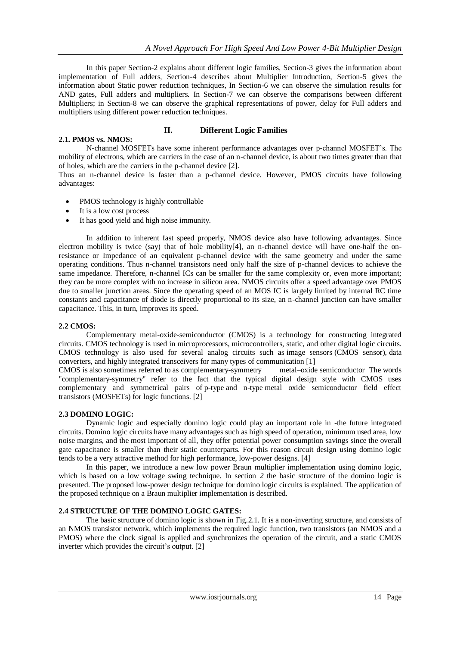In this paper Section-2 explains about different logic families, Section-3 gives the information about implementation of Full adders, Section-4 describes about Multiplier Introduction, Section-5 gives the information about Static power reduction techniques, In Section-6 we can observe the simulation results for AND gates, Full adders and multipliers. In Section-7 we can observe the comparisons between different Multipliers; in Section-8 we can observe the graphical representations of power, delay for Full adders and multipliers using different power reduction techniques.

#### **II. Different Logic Families**

N-channel MOSFETs have some inherent performance advantages over p-channel MOSFET's. The mobility of electrons, which are carriers in the case of an n-channel device, is about two times greater than that of holes, which are the carriers in the p-channel device [2].

Thus an n-channel device is faster than a p-channel device. However, PMOS circuits have following advantages:

- PMOS technology is highly controllable
- It is a low cost process

**2.1. PMOS vs. NMOS:**

It has good yield and high noise immunity.

In addition to inherent fast speed properly, NMOS device also have following advantages. Since electron mobility is twice (say) that of hole mobility[4], an n-channel device will have one-half the onresistance or Impedance of an equivalent p-channel device with the same geometry and under the same operating conditions. Thus n-channel transistors need only half the size of p-channel devices to achieve the same impedance. Therefore, n-channel ICs can be smaller for the same complexity or, even more important; they can be more complex with no increase in silicon area. NMOS circuits offer a speed advantage over PMOS due to smaller junction areas. Since the operating speed of an MOS IC is largely limited by internal RC time constants and capacitance of diode is directly proportional to its size, an n-channel junction can have smaller capacitance. This, in turn, improves its speed.

#### **2.2 CMOS:**

Complementary metal-oxide-semiconductor (CMOS) is a technology for constructing integrated circuits. CMOS technology is used in [microprocessors,](http://en.wikipedia.org/wiki/Microprocessor) microcontrollers, static, and other [digital logic](http://en.wikipedia.org/wiki/Digital_logic) circuits. CMOS technology is also used for several analog circuits such as [image sensors](http://en.wikipedia.org/wiki/Image_sensor) [\(CMOS sensor\)](http://en.wikipedia.org/wiki/CMOS_sensor), [data](http://en.wikipedia.org/wiki/Data_conversion)  [converters,](http://en.wikipedia.org/wiki/Data_conversion) and highly integrated transceivers for many types of communication [1]

CMOS is also sometimes referred to as complementary-symmetry metal–oxide semiconductor The words "complementary-symmetry" refer to the fact that the typical digital design style with CMOS uses complementary and symmetrical pairs of [p-type](http://en.wikipedia.org/wiki/P-type_semiconductor) and [n-type](http://en.wikipedia.org/wiki/N-type_semiconductor) [metal oxide semiconductor field effect](http://en.wikipedia.org/wiki/Metal_oxide_semiconductor_field_effect_transistor)  [transistors](http://en.wikipedia.org/wiki/Metal_oxide_semiconductor_field_effect_transistor) (MOSFETs) for logic functions. [2]

#### **2.3 DOMINO LOGIC:**

Dynamic logic and especially domino logic could play an important role in -the future integrated circuits. Domino logic circuits have many advantages such as high speed of operation, minimum used area, low noise margins, and the most important of all, they offer potential power consumption savings since the overall gate capacitance is smaller than their static counterparts. For this reason circuit design using domino logic tends to be a very attractive method for high performance, low-power designs. [4]

 In this paper, we introduce a new low power Braun multiplier implementation using domino logic, which is based on a low voltage swing technique. In section 2 the basic structure of the domino logic is presented. The proposed low-power design technique for domino logic circuits is explained. The application of the proposed technique on a Braun multiplier implementation is described.

#### **2.4 STRUCTURE OF THE DOMINO LOGIC GATES:**

 The basic structure of domino logic is shown in Fig.2.1. It is a non-inverting structure, and consists of an NMOS transistor network, which implements the required logic function, two transistors (an NMOS and a PMOS) where the clock signal is applied and synchronizes the operation of the circuit, and a static CMOS inverter which provides the circuit's output. [2]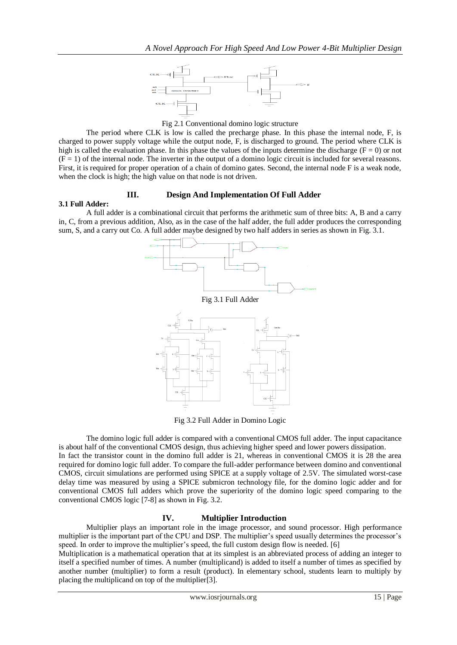

Fig 2.1 Conventional domino logic structure

The period where CLK is low is called the precharge phase. In this phase the internal node, F, is charged to power supply voltage while the output node, F, is discharged to ground. The period where CLK is high is called the evaluation phase. In this phase the values of the inputs determine the discharge ( $F = 0$ ) or not  $(F = 1)$  of the internal node. The inverter in the output of a domino logic circuit is included for several reasons. First, it is required for proper operation of a chain of domino gates. Second, the internal node F is a weak node, when the clock is high; the high value on that node is not driven.

#### **III. Design And Implementation Of Full Adder**

#### **3.1 Full Adder:**

A full adder is a combinational circuit that performs the arithmetic sum of three bits: A, B and a carry in, C, from a previous addition, Also, as in the case of the half adder, the full adder produces the corresponding sum, S, and a carry out Co. A full adder maybe designed by two half adders in series as shown in Fig. 3.1.





Fig 3.2 Full Adder in Domino Logic

The domino logic full adder is compared with a conventional CMOS full adder. The input capacitance is about half of the conventional CMOS design, thus achieving higher speed and lower powers dissipation.

In fact the transistor count in the domino full adder is 21, whereas in conventional CMOS it is 28 the area required for domino logic full adder. To compare the full-adder performance between domino and conventional CMOS, circuit simulations are performed using SPICE at a supply voltage of 2.5V. The simulated worst-case delay time was measured by using a SPICE submicron technology file, for the domino logic adder and for conventional CMOS full adders which prove the superiority of the domino logic speed comparing to the conventional CMOS logic [7-8] as shown in Fig. 3.2.

# **IV. Multiplier Introduction**

Multiplier plays an important role in the image processor, and sound processor. High performance multiplier is the important part of the CPU and DSP. The multiplier's speed usually determines the processor's speed. In order to improve the multiplier's speed, the full custom design flow is needed. [6]

Multiplication is a mathematical operation that at its simplest is an abbreviated process of adding an integer to itself a specified number of times. A number (multiplicand) is added to itself a number of times as specified by another number (multiplier) to form a result (product). In elementary school, students learn to multiply by placing the multiplicand on top of the multiplier[3].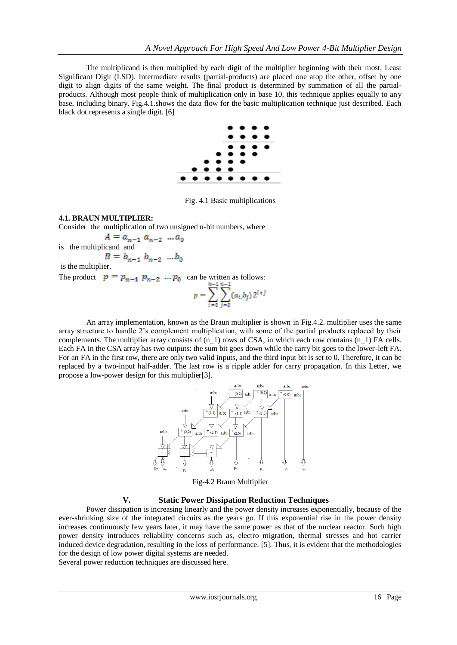The multiplicand is then multiplied by each digit of the multiplier beginning with their most, Least Significant Digit (LSD). Intermediate results (partial-products) are placed one atop the other, offset by one digit to align digits of the same weight. The final product is determined by summation of all the partialproducts. Although most people think of multiplication only in base 10, this technique applies equally to any base, including binary. Fig.4.1.shows the data flow for the basic multiplication technique just described. Each black dot represents a single digit. [6]



Fig. 4.1 Basic multiplications

#### **4.1. BRAUN MULTIPLIER:**

Consider the multiplication of two unsigned n-bit numbers, where

is the multiplicand and is the multiplier.

The product  $p = p_{n-1} p_{n-2} \dots p_0$  can be written as follows:

$$
p = \sum_{i=0}^{n-1} \sum_{j=0}^{n-1} (a_i, b_j) 2^{i+j}
$$

An array implementation, known as the Braun multiplier is shown in Fig.4.2. multiplier uses the same array structure to handle 2's complement multiplication, with some of the partial products replaced by their complements. The multiplier array consists of  $(n_1)$  rows of CSA, in which each row contains  $(n_1)$  FA cells. Each FA in the CSA array has two outputs: the sum bit goes down while the carry bit goes to the lower-left FA. For an FA in the first row, there are only two valid inputs, and the third input bit is set to 0. Therefore, it can be replaced by a two-input half-adder. The last row is a ripple adder for carry propagation. In this Letter, we propose a low-power design for this multiplier[3].



Fig-4.2 Braun Multiplier

#### **V. Static Power Dissipation Reduction Techniques**

Power dissipation is increasing linearly and the power density increases exponentially, because of the ever-shrinking size of the integrated circuits as the years go. If this exponential rise in the power density increases continuously few years later, it may have the same power as that of the nuclear reactor. Such high power density introduces reliability concerns such as, electro migration, thermal stresses and hot carrier induced device degradation, resulting in the loss of performance. [5]. Thus, it is evident that the methodologies for the design of low power digital systems are needed.

Several power reduction techniques are discussed here.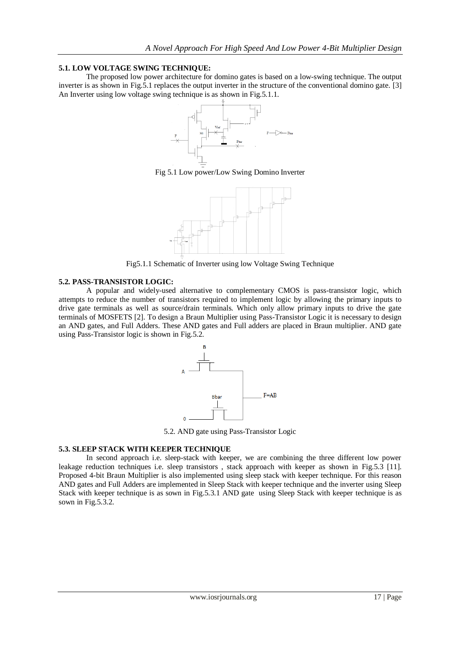#### **5.1. LOW VOLTAGE SWING TECHNIQUE:**

The proposed low power architecture for domino gates is based on a low-swing technique. The output inverter is as shown in Fig.5.1 replaces the output inverter in the structure of the conventional domino gate. [3] An Inverter using low voltage swing technique is as shown in Fig.5.1.1.



Fig 5.1 Low power/Low Swing Domino Inverter



Fig5.1.1 Schematic of Inverter using low Voltage Swing Technique

#### **5.2. PASS-TRANSISTOR LOGIC:**

A popular and widely-used alternative to complementary CMOS is pass-transistor logic, which attempts to reduce the number of transistors required to implement logic by allowing the primary inputs to drive gate terminals as well as source/drain terminals. Which only allow primary inputs to drive the gate terminals of MOSFETS [2]. To design a Braun Multiplier using Pass-Transistor Logic it is necessary to design an AND gates, and Full Adders. These AND gates and Full adders are placed in Braun multiplier. AND gate using Pass-Transistor logic is shown in Fig.5.2.



5.2. AND gate using Pass-Transistor Logic

#### **5.3. SLEEP STACK WITH KEEPER TECHNIQUE**

In second approach i.e. sleep-stack with keeper, we are combining the three different low power leakage reduction techniques i.e. sleep transistors , stack approach with keeper as shown in Fig.5.3 [11]. Proposed 4-bit Braun Multiplier is also implemented using sleep stack with keeper technique. For this reason AND gates and Full Adders are implemented in Sleep Stack with keeper technique and the inverter using Sleep Stack with keeper technique is as sown in Fig.5.3.1 AND gate using Sleep Stack with keeper technique is as sown in Fig.5.3.2.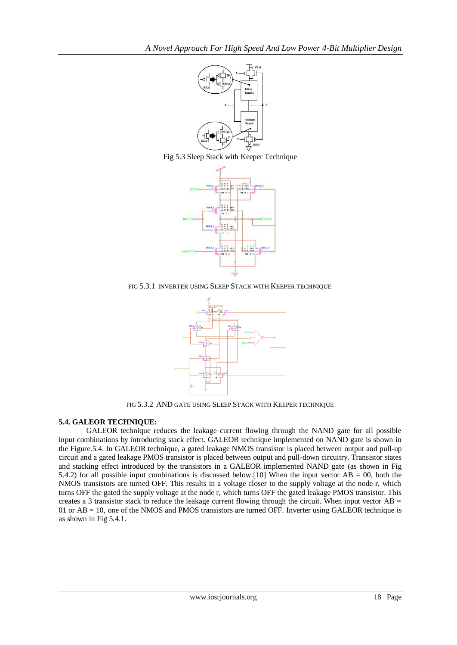

Fig 5.3 Sleep Stack with Keeper Technique



FIG 5.3.1 INVERTER USING SLEEP STACK WITH KEEPER TECHNIQUE



FIG 5.3.2 AND GATE USING SLEEP STACK WITH KEEPER TECHNIQUE

# **5.4. GALEOR TECHNIQUE:**

GALEOR technique reduces the leakage current flowing through the NAND gate for all possible input combinations by introducing stack effect. GALEOR technique implemented on NAND gate is shown in the Figure.5.4. In GALEOR technique, a gated leakage NMOS transistor is placed between output and pull-up circuit and a gated leakage PMOS transistor is placed between output and pull-down circuitry. Transistor states and stacking effect introduced by the transistors in a GALEOR implemented NAND gate (as shown in Fig 5.4.2) for all possible input combinations is discussed below.[10] When the input vector  $AB = 00$ , both the NMOS transistors are turned OFF. This results in a voltage closer to the supply voltage at the node r, which turns OFF the gated the supply voltage at the node r, which turns OFF the gated leakage PMOS transistor. This creates a 3 transistor stack to reduce the leakage current flowing through the circuit. When input vector  $AB =$ 01 or AB = 10, one of the NMOS and PMOS transistors are turned OFF. Inverter using GALEOR technique is as shown in Fig 5.4.1.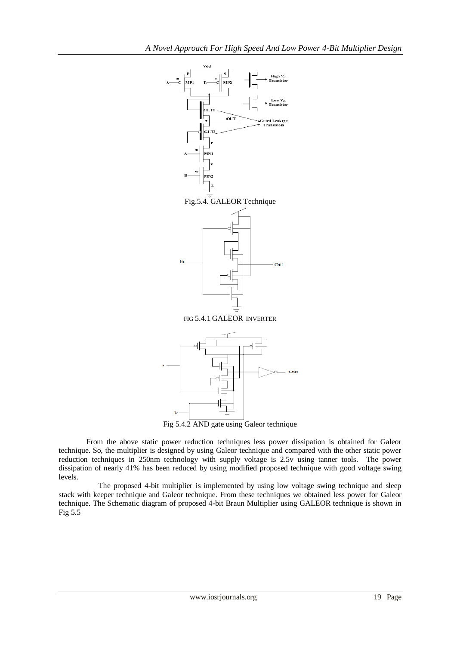

Fig 5.4.2 AND gate using Galeor technique

From the above static power reduction techniques less power dissipation is obtained for Galeor technique. So, the multiplier is designed by using Galeor technique and compared with the other static power reduction techniques in 250nm technology with supply voltage is 2.5v using tanner tools. The power dissipation of nearly 41% has been reduced by using modified proposed technique with good voltage swing levels.

The proposed 4-bit multiplier is implemented by using low voltage swing technique and sleep stack with keeper technique and Galeor technique. From these techniques we obtained less power for Galeor technique. The Schematic diagram of proposed 4-bit Braun Multiplier using GALEOR technique is shown in Fig 5.5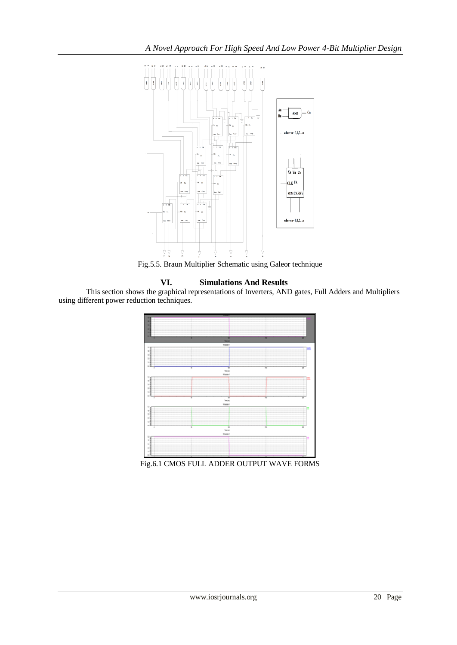

Fig.5.5. Braun Multiplier Schematic using Galeor technique

### **VI. Simulations And Results**

This section shows the graphical representations of Inverters, AND gates, Full Adders and Multipliers using different power reduction techniques.



Fig.6.1 CMOS FULL ADDER OUTPUT WAVE FORMS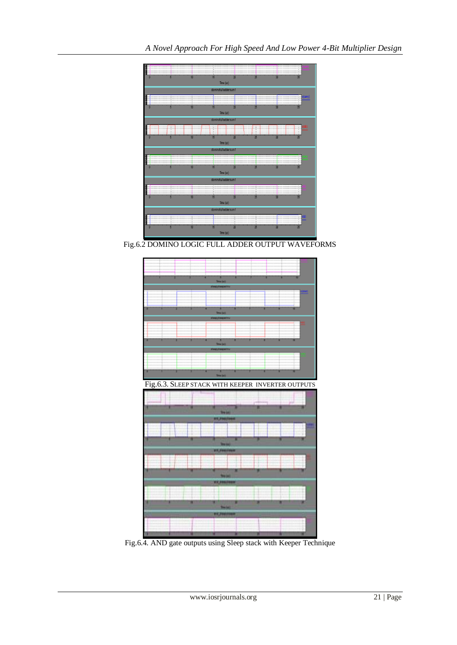

Fig.6.2 DOMINO LOGIC FULL ADDER OUTPUT WAVEFORMS



Fig.6.4. AND gate outputs using Sleep stack with Keeper Technique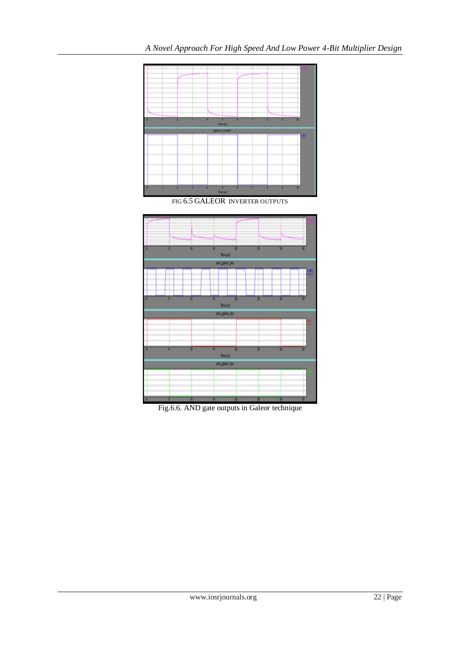





Fig.6.6. AND gate outputs in Galeor technique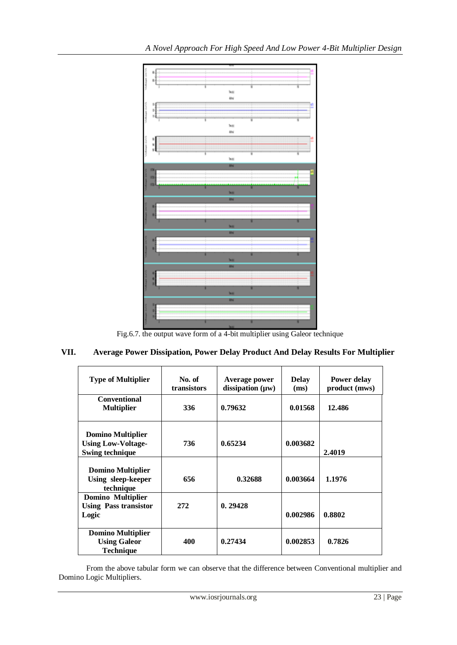

Fig.6.7. the output wave form of a 4-bit multiplier using Galeor technique

# **VII. Average Power Dissipation, Power Delay Product And Delay Results For Multiplier**

| <b>Type of Multiplier</b>                                                       | No. of<br>transistors | Average power<br>dissipation $(\mu w)$ | <b>Delay</b><br>(ms) | Power delay<br>product (mws) |
|---------------------------------------------------------------------------------|-----------------------|----------------------------------------|----------------------|------------------------------|
| <b>Conventional</b><br><b>Multiplier</b>                                        | 336                   | 0.79632                                | 0.01568              | 12.486                       |
| <b>Domino Multiplier</b><br><b>Using Low-Voltage-</b><br><b>Swing technique</b> | 736                   | 0.65234                                | 0.003682             | 2.4019                       |
| <b>Domino Multiplier</b><br>Using sleep-keeper<br>technique                     | 656                   | 0.32688                                | 0.003664             | 1.1976                       |
| <b>Domino Multiplier</b><br><b>Using Pass transistor</b><br>Logic               | 272                   | 0.29428                                | 0.002986             | 0.8802                       |
| <b>Domino Multiplier</b><br><b>Using Galeor</b><br><b>Technique</b>             | 400                   | 0.27434                                | 0.002853             | 0.7826                       |

From the above tabular form we can observe that the difference between Conventional multiplier and Domino Logic Multipliers.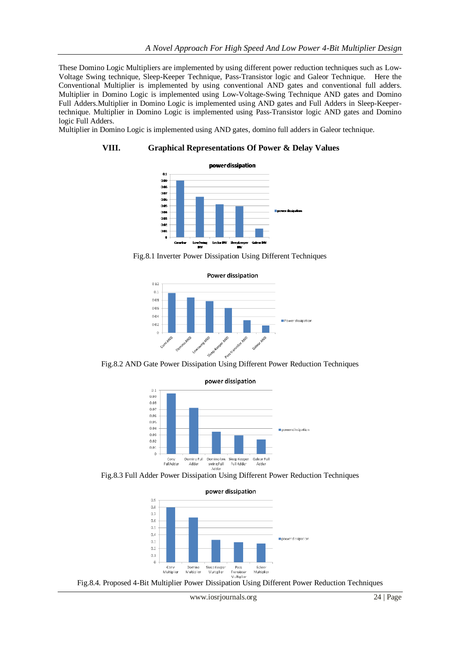These Domino Logic Multipliers are implemented by using different power reduction techniques such as Low-Voltage Swing technique, Sleep-Keeper Technique, Pass-Transistor logic and Galeor Technique. Here the Conventional Multiplier is implemented by using conventional AND gates and conventional full adders. Multiplier in Domino Logic is implemented using Low-Voltage-Swing Technique AND gates and Domino Full Adders.Multiplier in Domino Logic is implemented using AND gates and Full Adders in Sleep-Keepertechnique. Multiplier in Domino Logic is implemented using Pass-Transistor logic AND gates and Domino logic Full Adders.

Multiplier in Domino Logic is implemented using AND gates, domino full adders in Galeor technique.

#### **VIII. Graphical Representations Of Power & Delay Values**







Fig.8.2 AND Gate Power Dissipation Using Different Power Reduction Techniques



power dissipation

Fig.8.3 Full Adder Power Dissipation Using Different Power Reduction Techniques



Fig.8.4. Proposed 4-Bit Multiplier Power Dissipation Using Different Power Reduction Techniques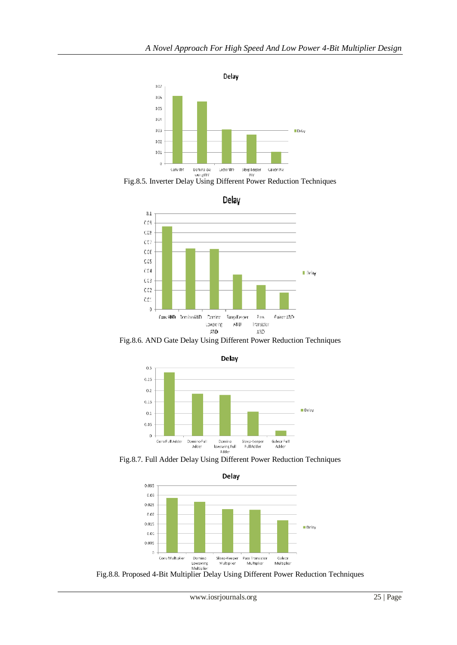

Experiment Domination Detector IIV Steep Reeper Galeor IIV<br>Fig.8.5. Inverter Delay Using Different Power Reduction Techniques

Delay



Fig.8.6. AND Gate Delay Using Different Power Reduction Techniques



Fig.8.7. Full Adder Delay Using Different Power Reduction Techniques